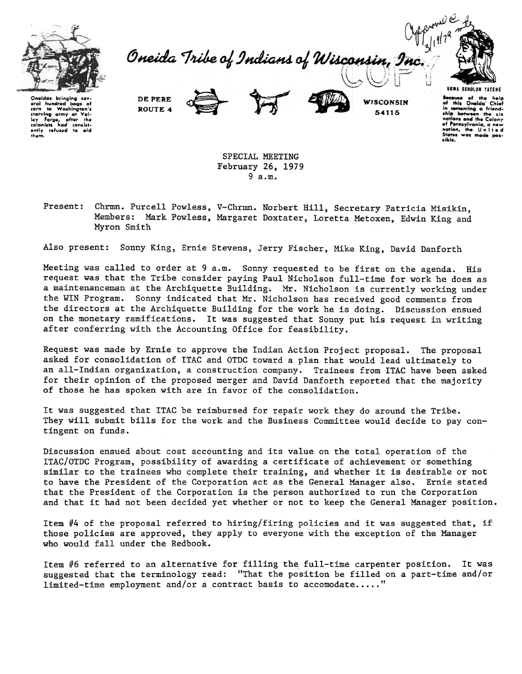

Oneida Tribe of Indians of Wisconsin, Inc



Oneidas bringing sev-<br>eral hundred bags of<br>**corn to Washington's**<br>**starving army at Val-**<br>ley Forge, after the<br>colonists had consist**ently** refua~d **to aid them.** 

DE PERE ROUTE 4



WISCONSIN 54115

**Because** of the help<br>of this Oneida Chief of "'I• Oneida · Chief **in cementing a fr i•nd**ship between the six<br>nations and the Colony<br>of Pennsylvania, a new<br>nation, the U n I t e d States was made

SPECIAL MEETING February 26, 1979 9 a.m.

Present: Chrmn. Purcell Powless, V-Chrmn. Norbert Hill, Secretary Patricia Misikin, Members: Mark Powless, Margaret Doxtater, Loretta Metoxen, Edwin King and Myron Smith

Also present: Sonny King, Ernie Stevens, Jerry Fischer, Mike King, David Danforth

Meeting was called to order at 9 a.m. Sonny requested to be first on the agenda. His request was that the Tribe consider paying Paul Nicholson full-time for work he does as a maintenanceman at the Archiquette Building. Mr. Nicholson is currently working under the WIN Program. Sonny indicated that Mr. Nicholson has received good comments from the directors at the Archiquette Building for the work he is doing. Discussion ensued on the monetary ramifications. It was suggested that Sonny put his request in writing after conferring with the Accounting Office for feasibility.

Request was made by Ernie to approve the Indian Action Project proposal. The proposal asked for consolidation of ITAC and OTDC toward a plan that would lead ultimately to an all-Indian organization, a construction company. Trainees from ITAC have been asked for their opinion of the proposed merger and David Danforth reported that the majority of those he has spoken with are in favor of the consolidation.

It was suggested that ITAC be reimbursed for repair work they do around the Tribe. They will submit bills for the work and the Business Committee would decide to pay contingent on funds.

Discussion ensued about cost accounting and its value on the total operation of the ITAC/OTDC Program, possibility of awarding a certificate of achievement or something similar to the trainees who complete their training, and whether it is desirable or not to have the President of the Corporation act as the General Manager also. Ernie stated that the President of the Corporation is the person authorized to run the Corporation and that it had not been decided yet whether or not to keep the General Manager position.

Item  $#4$  of the proposal referred to hiring/firing policies and it was suggested that, if those policies are approved, they apply to everyone with the exception of the Manager who would fall under the Redbook.

Item #6 referred to an alternative for filling the full-time carpenter position. It was suggested that the terminology read: "That the position be filled on a part-time and/or limited-time employment and/or a contract basis to accomodate....."